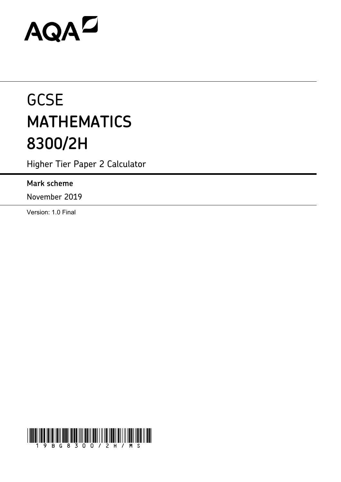# AQAZ

# **GCSE MATHEMATICS 8300/2H**

Higher Tier Paper 2 Calculator

# **Mark scheme**

November 2019

Version: 1.0 Final

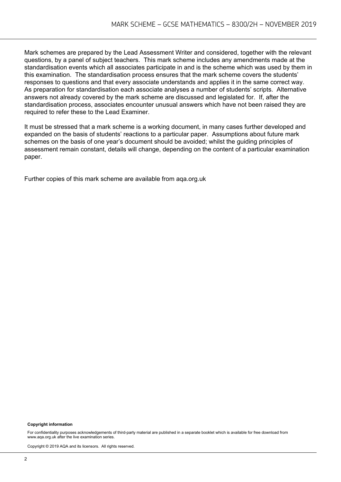Mark schemes are prepared by the Lead Assessment Writer and considered, together with the relevant questions, by a panel of subject teachers. This mark scheme includes any amendments made at the standardisation events which all associates participate in and is the scheme which was used by them in this examination. The standardisation process ensures that the mark scheme covers the students' responses to questions and that every associate understands and applies it in the same correct way. As preparation for standardisation each associate analyses a number of students' scripts. Alternative answers not already covered by the mark scheme are discussed and legislated for. If, after the standardisation process, associates encounter unusual answers which have not been raised they are required to refer these to the Lead Examiner.

It must be stressed that a mark scheme is a working document, in many cases further developed and expanded on the basis of students' reactions to a particular paper. Assumptions about future mark schemes on the basis of one year's document should be avoided; whilst the guiding principles of assessment remain constant, details will change, depending on the content of a particular examination paper.

Further copies of this mark scheme are available from aqa.org.uk

#### **Copyright information**

For confidentiality purposes acknowledgements of third-party material are published in a separate booklet which is available for free download from www.aqa.org.uk after the live examination series.

Copyright © 2019 AQA and its licensors. All rights reserved.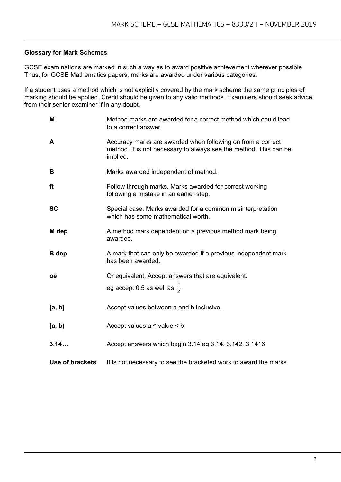#### **Glossary for Mark Schemes**

GCSE examinations are marked in such a way as to award positive achievement wherever possible. Thus, for GCSE Mathematics papers, marks are awarded under various categories.

If a student uses a method which is not explicitly covered by the mark scheme the same principles of marking should be applied. Credit should be given to any valid methods. Examiners should seek advice from their senior examiner if in any doubt.

| M               | Method marks are awarded for a correct method which could lead<br>to a correct answer.                                                       |
|-----------------|----------------------------------------------------------------------------------------------------------------------------------------------|
| A               | Accuracy marks are awarded when following on from a correct<br>method. It is not necessary to always see the method. This can be<br>implied. |
| B               | Marks awarded independent of method.                                                                                                         |
| ft              | Follow through marks. Marks awarded for correct working<br>following a mistake in an earlier step.                                           |
| <b>SC</b>       | Special case. Marks awarded for a common misinterpretation<br>which has some mathematical worth.                                             |
| M dep           | A method mark dependent on a previous method mark being<br>awarded.                                                                          |
| <b>B</b> dep    | A mark that can only be awarded if a previous independent mark<br>has been awarded.                                                          |
| <b>oe</b>       | Or equivalent. Accept answers that are equivalent.                                                                                           |
|                 | eg accept 0.5 as well as $\frac{1}{2}$                                                                                                       |
| [a, b]          | Accept values between a and b inclusive.                                                                                                     |
| [a, b)          | Accept values $a \leq$ value $\leq b$                                                                                                        |
| 3.14            | Accept answers which begin 3.14 eg 3.14, 3.142, 3.1416                                                                                       |
| Use of brackets | It is not necessary to see the bracketed work to award the marks.                                                                            |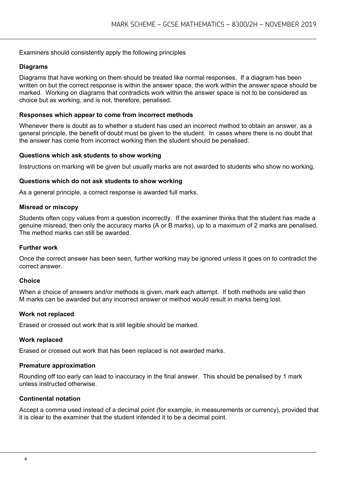#### Examiners should consistently apply the following principles

#### **Diagrams**

Diagrams that have working on them should be treated like normal responses. If a diagram has been written on but the correct response is within the answer space, the work within the answer space should be marked. Working on diagrams that contradicts work within the answer space is not to be considered as choice but as working, and is not, therefore, penalised.

#### **Responses which appear to come from incorrect methods**

Whenever there is doubt as to whether a student has used an incorrect method to obtain an answer, as a general principle, the benefit of doubt must be given to the student. In cases where there is no doubt that the answer has come from incorrect working then the student should be penalised.

#### **Questions which ask students to show working**

Instructions on marking will be given but usually marks are not awarded to students who show no working.

#### **Questions which do not ask students to show working**

As a general principle, a correct response is awarded full marks.

#### **Misread or miscopy**

Students often copy values from a question incorrectly. If the examiner thinks that the student has made a genuine misread, then only the accuracy marks (A or B marks), up to a maximum of 2 marks are penalised. The method marks can still be awarded.

#### **Further work**

Once the correct answer has been seen, further working may be ignored unless it goes on to contradict the correct answer.

#### **Choice**

When a choice of answers and/or methods is given, mark each attempt. If both methods are valid then M marks can be awarded but any incorrect answer or method would result in marks being lost.

#### **Work not replaced**

Erased or crossed out work that is still legible should be marked.

#### **Work replaced**

Erased or crossed out work that has been replaced is not awarded marks.

#### **Premature approximation**

Rounding off too early can lead to inaccuracy in the final answer. This should be penalised by 1 mark unless instructed otherwise.

#### **Continental notation**

Accept a comma used instead of a decimal point (for example, in measurements or currency), provided that it is clear to the examiner that the student intended it to be a decimal point.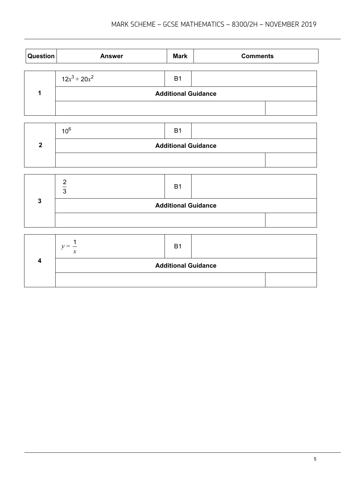| <b>Question</b> | <b>Answer</b>   | <b>Mark</b>                | <b>Comments</b> |  |
|-----------------|-----------------|----------------------------|-----------------|--|
|                 | $12x^3 + 20x^2$ | B <sub>1</sub>             |                 |  |
|                 |                 | <b>Additional Guidance</b> |                 |  |
|                 |                 |                            |                 |  |

| 10 <sup>6</sup>            | B <sub>1</sub> |  |  |  |  |
|----------------------------|----------------|--|--|--|--|
| <b>Additional Guidance</b> |                |  |  |  |  |
|                            |                |  |  |  |  |

|  | B <sub>1</sub>             |  |
|--|----------------------------|--|
|  | <b>Additional Guidance</b> |  |
|  |                            |  |

|  | <b>B1</b>                  |  |
|--|----------------------------|--|
|  | <b>Additional Guidance</b> |  |
|  |                            |  |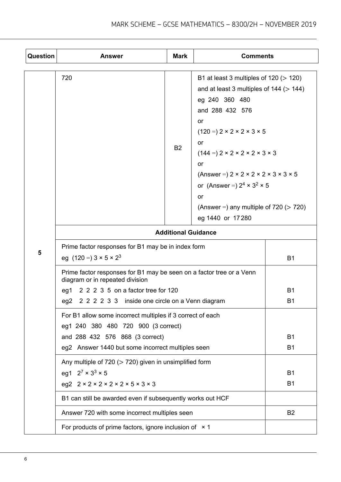| Question | <b>Answer</b>                                                                                           | <b>Mark</b> | <b>Comments</b>                                                                                                                                                                                                                                                                                                                                                                                                                       |                |
|----------|---------------------------------------------------------------------------------------------------------|-------------|---------------------------------------------------------------------------------------------------------------------------------------------------------------------------------------------------------------------------------------------------------------------------------------------------------------------------------------------------------------------------------------------------------------------------------------|----------------|
|          | 720                                                                                                     | <b>B2</b>   | B1 at least 3 multiples of $120 (> 120)$<br>and at least 3 multiples of $144$ ( $> 144$ )<br>eg 240 360 480<br>and 288 432 576<br>or<br>$(120 =) 2 \times 2 \times 2 \times 3 \times 5$<br><b>or</b><br>$(144 =) 2 \times 2 \times 2 \times 2 \times 3 \times 3$<br>or<br>(Answer = $)$ 2 × 2 × 2 × 2 × 3 × 3 × 5<br>or (Answer = $2^4 \times 3^2 \times 5$<br>or<br>(Answer =) any multiple of $720$ ( $> 720$ )<br>eg 1440 or 17280 |                |
|          | <b>Additional Guidance</b>                                                                              |             |                                                                                                                                                                                                                                                                                                                                                                                                                                       |                |
| 5        | Prime factor responses for B1 may be in index form<br>eg $(120 = 3 \times 5 \times 2^3)$                |             |                                                                                                                                                                                                                                                                                                                                                                                                                                       | <b>B1</b>      |
|          | Prime factor responses for B1 may be seen on a factor tree or a Venn<br>diagram or in repeated division |             |                                                                                                                                                                                                                                                                                                                                                                                                                                       |                |
|          | 2 2 2 3 5 on a factor tree for 120<br>eg1                                                               |             |                                                                                                                                                                                                                                                                                                                                                                                                                                       | <b>B1</b>      |
|          | 2 2 2 3 3 inside one circle on a Venn diagram<br>eg2                                                    |             |                                                                                                                                                                                                                                                                                                                                                                                                                                       | <b>B1</b>      |
|          | For B1 allow some incorrect multiples if 3 correct of each<br>eg1 240 380 480 720 900 (3 correct)       |             |                                                                                                                                                                                                                                                                                                                                                                                                                                       |                |
|          | and 288 432 576 868 (3 correct)                                                                         |             |                                                                                                                                                                                                                                                                                                                                                                                                                                       | <b>B1</b>      |
|          | eg2 Answer 1440 but some incorrect multiples seen                                                       |             |                                                                                                                                                                                                                                                                                                                                                                                                                                       | <b>B1</b>      |
|          | Any multiple of $720$ ( $> 720$ ) given in unsimplified form                                            |             |                                                                                                                                                                                                                                                                                                                                                                                                                                       |                |
|          | eg1 $2^7 \times 3^3 \times 5$                                                                           |             |                                                                                                                                                                                                                                                                                                                                                                                                                                       | <b>B1</b>      |
|          | eg2 $2 \times 2 \times 2 \times 2 \times 2 \times 5 \times 3 \times 3$                                  |             |                                                                                                                                                                                                                                                                                                                                                                                                                                       | <b>B1</b>      |
|          | B1 can still be awarded even if subsequently works out HCF                                              |             |                                                                                                                                                                                                                                                                                                                                                                                                                                       |                |
|          | Answer 720 with some incorrect multiples seen                                                           |             |                                                                                                                                                                                                                                                                                                                                                                                                                                       | B <sub>2</sub> |
|          | For products of prime factors, ignore inclusion of $\times$ 1                                           |             |                                                                                                                                                                                                                                                                                                                                                                                                                                       |                |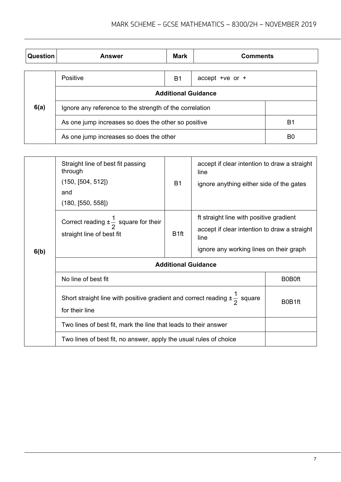| <b>Question</b> | <b>Answer</b>                                           | <b>Mark</b> | <b>Comments</b>    |                |
|-----------------|---------------------------------------------------------|-------------|--------------------|----------------|
|                 | Positive                                                | <b>B1</b>   | accept + $ve$ or + |                |
|                 | <b>Additional Guidance</b>                              |             |                    |                |
| 6(a)            | Ignore any reference to the strength of the correlation |             |                    |                |
|                 | As one jump increases so does the other so positive     |             |                    | B <sub>1</sub> |
|                 | As one jump increases so does the other                 |             |                    | B <sub>0</sub> |

|      | Straight line of best fit passing<br>through<br>(150, [504, 512])<br>and<br>(180, [550, 558])             | <b>B1</b>        | accept if clear intention to draw a straight<br>line<br>ignore anything either side of the gates |        |
|------|-----------------------------------------------------------------------------------------------------------|------------------|--------------------------------------------------------------------------------------------------|--------|
|      | Correct reading $\pm \frac{1}{2}$ square for their                                                        |                  | ft straight line with positive gradient                                                          |        |
| 6(b) | straight line of best fit                                                                                 | B <sub>1ft</sub> | accept if clear intention to draw a straight<br>line                                             |        |
|      |                                                                                                           |                  | ignore any working lines on their graph                                                          |        |
|      | <b>Additional Guidance</b>                                                                                |                  |                                                                                                  |        |
|      | No line of best fit                                                                                       | <b>B0B0ft</b>    |                                                                                                  |        |
|      | Short straight line with positive gradient and correct reading $\pm \frac{1}{2}$ square<br>for their line |                  |                                                                                                  | B0B1ft |
|      | Two lines of best fit, mark the line that leads to their answer                                           |                  |                                                                                                  |        |
|      | Two lines of best fit, no answer, apply the usual rules of choice                                         |                  |                                                                                                  |        |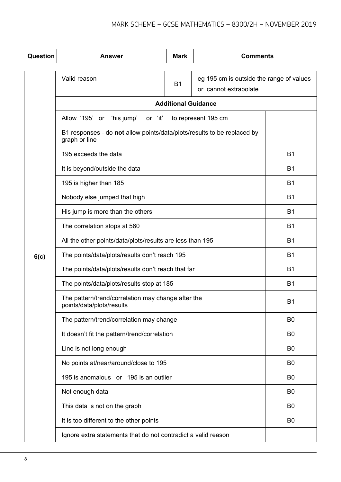| Question | <b>Answer</b>                                                                            | <b>Mark</b>                | <b>Comments</b>                                                   |                |  |
|----------|------------------------------------------------------------------------------------------|----------------------------|-------------------------------------------------------------------|----------------|--|
|          | Valid reason                                                                             | <b>B1</b>                  | eg 195 cm is outside the range of values<br>or cannot extrapolate |                |  |
|          |                                                                                          | <b>Additional Guidance</b> |                                                                   |                |  |
|          | 'his jump'<br>Allow '195' or<br>or 'it'                                                  |                            | to represent 195 cm                                               |                |  |
|          | B1 responses - do not allow points/data/plots/results to be replaced by<br>graph or line |                            |                                                                   |                |  |
|          | 195 exceeds the data                                                                     |                            |                                                                   | <b>B1</b>      |  |
|          | It is beyond/outside the data                                                            |                            |                                                                   | <b>B1</b>      |  |
|          | 195 is higher than 185                                                                   |                            |                                                                   | <b>B1</b>      |  |
|          | Nobody else jumped that high                                                             |                            |                                                                   | <b>B1</b>      |  |
|          | His jump is more than the others                                                         |                            |                                                                   | <b>B1</b>      |  |
|          | The correlation stops at 560                                                             |                            |                                                                   | <b>B1</b>      |  |
|          | All the other points/data/plots/results are less than 195                                |                            |                                                                   | <b>B1</b>      |  |
| 6(c)     | The points/data/plots/results don't reach 195                                            |                            |                                                                   | <b>B1</b>      |  |
|          | The points/data/plots/results don't reach that far                                       |                            |                                                                   | <b>B1</b>      |  |
|          | The points/data/plots/results stop at 185                                                |                            |                                                                   | <b>B1</b>      |  |
|          | The pattern/trend/correlation may change after the<br>points/data/plots/results          |                            |                                                                   | B <sub>1</sub> |  |
|          | The pattern/trend/correlation may change                                                 |                            |                                                                   | B <sub>0</sub> |  |
|          | It doesn't fit the pattern/trend/correlation                                             |                            |                                                                   | B <sub>0</sub> |  |
|          | Line is not long enough                                                                  |                            |                                                                   | B <sub>0</sub> |  |
|          | No points at/near/around/close to 195                                                    |                            |                                                                   | B <sub>0</sub> |  |
|          | 195 is anomalous or 195 is an outlier                                                    |                            |                                                                   | B <sub>0</sub> |  |
|          | Not enough data                                                                          |                            |                                                                   | B <sub>0</sub> |  |
|          | This data is not on the graph                                                            |                            |                                                                   | B <sub>0</sub> |  |
|          | It is too different to the other points                                                  |                            |                                                                   | B <sub>0</sub> |  |
|          | Ignore extra statements that do not contradict a valid reason                            |                            |                                                                   |                |  |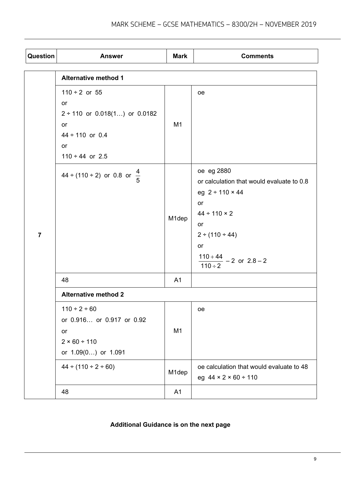| Question       | <b>Answer</b>                          | <b>Mark</b>    | <b>Comments</b>                            |  |
|----------------|----------------------------------------|----------------|--------------------------------------------|--|
|                | <b>Alternative method 1</b>            |                |                                            |  |
|                | $110 \div 2$ or 55                     |                | oe                                         |  |
|                | or                                     |                |                                            |  |
|                | $2 \div 110$ or 0.018(1) or 0.0182     |                |                                            |  |
|                | or                                     | M1             |                                            |  |
|                | $44 \div 110$ or 0.4                   |                |                                            |  |
|                | or                                     |                |                                            |  |
|                | $110 \div 44$ or 2.5                   |                |                                            |  |
|                | 44 ÷ (110 ÷ 2) or 0.8 or $\frac{4}{5}$ |                | oe eg 2880                                 |  |
|                |                                        |                | or calculation that would evaluate to 0.8  |  |
|                |                                        |                | eg $2 \div 110 \times 44$                  |  |
|                |                                        | M1dep          | or                                         |  |
|                |                                        |                | $44 \div 110 \times 2$                     |  |
|                |                                        |                | or                                         |  |
| $\overline{7}$ |                                        |                | $2 \div (110 \div 44)$<br>or               |  |
|                |                                        |                |                                            |  |
|                |                                        |                | $\frac{110+44}{110 \div 2} - 2$ or $2.8-2$ |  |
|                | 48                                     | A <sub>1</sub> |                                            |  |
|                | <b>Alternative method 2</b>            |                |                                            |  |
|                | $110 \div 2 \div 60$                   |                | oе                                         |  |
|                | or 0.916 or 0.917 or 0.92              |                |                                            |  |
|                | or                                     | M1             |                                            |  |
|                | 2 × 60 ÷ 110                           |                |                                            |  |
|                | or 1.09(0) or 1.091                    |                |                                            |  |
|                | $44 \div (110 \div 2 \div 60)$         | M1dep          | oe calculation that would evaluate to 48   |  |
|                |                                        |                | eg $44 \times 2 \times 60 \div 110$        |  |
|                | 48                                     | A1             |                                            |  |

# **Additional Guidance is on the next page**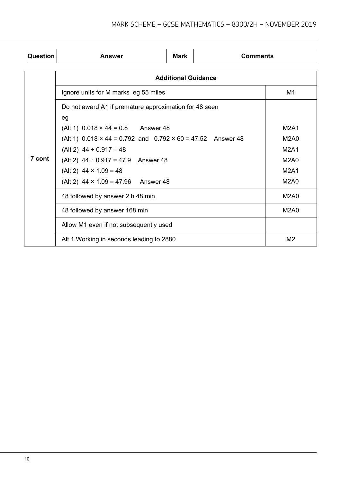| Question | <b>Answer</b>                                                             | <b>Mark</b>                | <b>Comments</b> |                               |
|----------|---------------------------------------------------------------------------|----------------------------|-----------------|-------------------------------|
|          |                                                                           | <b>Additional Guidance</b> |                 |                               |
|          | Ignore units for M marks eg 55 miles                                      |                            |                 | M <sub>1</sub>                |
|          | Do not award A1 if premature approximation for 48 seen                    |                            |                 |                               |
|          | eg                                                                        |                            |                 |                               |
|          | (Alt 1) $0.018 \times 44 = 0.8$ Answer 48                                 |                            |                 | <b>M2A1</b>                   |
|          | (Alt 1) $0.018 \times 44 = 0.792$ and $0.792 \times 60 = 47.52$ Answer 48 |                            |                 | M <sub>2</sub> A <sub>0</sub> |
|          | (Alt 2) $44 \div 0.917 = 48$                                              |                            |                 | <b>M2A1</b>                   |
| 7 cont   | (Alt 2) $44 \div 0.917 = 47.9$ Answer 48                                  |                            |                 | <b>M2A0</b>                   |
|          | (Alt 2) $44 \times 1.09 = 48$                                             |                            |                 | <b>M2A1</b>                   |
|          | (Alt 2) $44 \times 1.09 = 47.96$ Answer 48                                |                            |                 | <b>M2A0</b>                   |
|          | 48 followed by answer 2 h 48 min                                          |                            |                 | M <sub>2</sub> A <sub>0</sub> |
|          | 48 followed by answer 168 min                                             |                            |                 | <b>M2A0</b>                   |
|          | Allow M1 even if not subsequently used                                    |                            |                 |                               |
|          | Alt 1 Working in seconds leading to 2880                                  |                            |                 | M <sub>2</sub>                |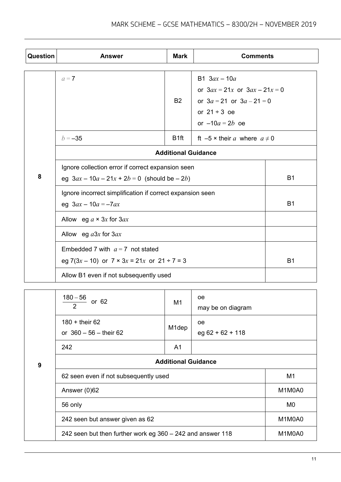| Question         | <b>Answer</b>                                                                                         | <b>Mark</b>                | <b>Comments</b>                                                                                           |                |
|------------------|-------------------------------------------------------------------------------------------------------|----------------------------|-----------------------------------------------------------------------------------------------------------|----------------|
|                  |                                                                                                       |                            |                                                                                                           |                |
|                  | $a=7$                                                                                                 | <b>B2</b>                  | B1 $3ax - 10a$<br>or $3ax = 21x$ or $3ax - 21x = 0$<br>or $3a = 21$ or $3a - 21 = 0$<br>or $21 \div 3$ oe |                |
|                  | $b = -35$                                                                                             | B <sub>1ft</sub>           | or $-10a = 2b$ oe<br>ft $-5 \times$ their a where $a \neq 0$                                              |                |
|                  |                                                                                                       | <b>Additional Guidance</b> |                                                                                                           |                |
| 8                | Ignore collection error if correct expansion seen<br>eg $3ax - 10a - 21x + 2b = 0$ (should be $-2b$ ) |                            |                                                                                                           | <b>B1</b>      |
|                  | Ignore incorrect simplification if correct expansion seen<br>eg $3ax - 10a = -7ax$                    |                            |                                                                                                           | <b>B1</b>      |
|                  | Allow eg $a \times 3x$ for $3ax$                                                                      |                            |                                                                                                           |                |
|                  | Allow eg $a3x$ for $3ax$                                                                              |                            |                                                                                                           |                |
|                  | Embedded 7 with $a = 7$ not stated<br>eg 7(3x – 10) or $7 \times 3x = 21x$ or $21 \div 7 = 3$         |                            |                                                                                                           | <b>B1</b>      |
|                  | Allow B1 even if not subsequently used                                                                |                            |                                                                                                           |                |
|                  | $180 - 56$<br>or 62<br>$\overline{2}$                                                                 | M1                         | oе<br>may be on diagram                                                                                   |                |
|                  | 180 + their 62<br>or $360 - 56$ - their 62                                                            | M <sub>1</sub> dep         | oe<br>eg $62 + 62 + 118$                                                                                  |                |
|                  | 242                                                                                                   | A1                         |                                                                                                           |                |
| $\boldsymbol{9}$ | <b>Additional Guidance</b>                                                                            |                            |                                                                                                           |                |
|                  | 62 seen even if not subsequently used                                                                 |                            |                                                                                                           | M <sub>1</sub> |
|                  | Answer (0)62                                                                                          |                            |                                                                                                           | M1M0A0         |
|                  | 56 only                                                                                               |                            |                                                                                                           | M <sub>0</sub> |
|                  | 242 seen but answer given as 62                                                                       |                            |                                                                                                           | M1M0A0         |
|                  | 242 seen but then further work eg 360 - 242 and answer 118                                            |                            |                                                                                                           | M1M0A0         |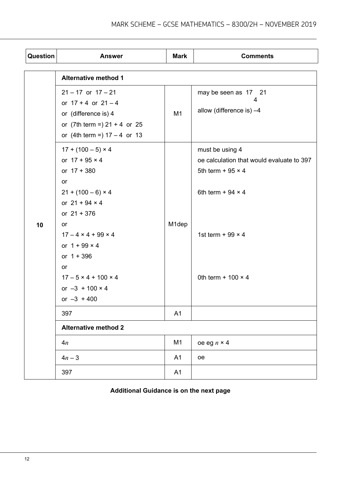| Question | <b>Answer</b>                                                                                                                                                                                                              | <b>Mark</b>    | <b>Comments</b>                                                                                                                                     |
|----------|----------------------------------------------------------------------------------------------------------------------------------------------------------------------------------------------------------------------------|----------------|-----------------------------------------------------------------------------------------------------------------------------------------------------|
|          | <b>Alternative method 1</b>                                                                                                                                                                                                |                |                                                                                                                                                     |
|          | $21 - 17$ or $17 - 21$<br>or $17 + 4$ or $21 - 4$<br>or (difference is) 4<br>or $(7th term =) 21 + 4$ or 25<br>or (4th term =) $17 - 4$ or 13<br>$17 + (100 - 5) \times 4$<br>or $17 + 95 \times 4$<br>or $17 + 380$<br>or | M <sub>1</sub> | may be seen as 17 21<br>4<br>allow (difference is) $-4$<br>must be using 4<br>oe calculation that would evaluate to 397<br>5th term + $95 \times 4$ |
| 10       | $21 + (100 - 6) \times 4$<br>or $21 + 94 \times 4$<br>or $21 + 376$<br>or                                                                                                                                                  | M1dep          | 6th term + 94 $\times$ 4                                                                                                                            |
|          | $17 - 4 \times 4 + 99 \times 4$<br>or $1 + 99 \times 4$<br>or $1 + 396$<br>or                                                                                                                                              |                | 1st term + 99 $\times$ 4                                                                                                                            |
|          | $17 - 5 \times 4 + 100 \times 4$<br>or $-3 + 100 \times 4$<br>or $-3 + 400$                                                                                                                                                |                | 0th term + $100 \times 4$                                                                                                                           |
|          | 397                                                                                                                                                                                                                        | A1             |                                                                                                                                                     |
|          | <b>Alternative method 2</b>                                                                                                                                                                                                |                |                                                                                                                                                     |
|          | 4n                                                                                                                                                                                                                         | M <sub>1</sub> | oe eg $n \times 4$                                                                                                                                  |
|          | $4n - 3$                                                                                                                                                                                                                   | A1             | oe                                                                                                                                                  |
|          | 397                                                                                                                                                                                                                        | A1             |                                                                                                                                                     |

## **Additional Guidance is on the next page**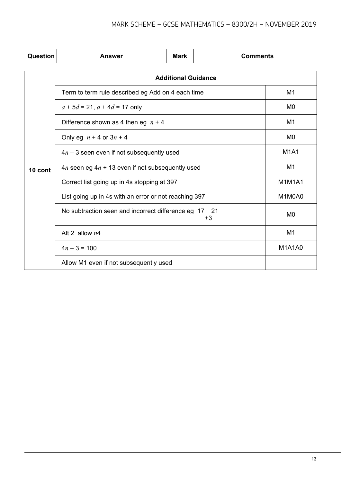| Question | <b>Answer</b>                                                 | <b>Mark</b> | <b>Comments</b> |                |
|----------|---------------------------------------------------------------|-------------|-----------------|----------------|
|          | <b>Additional Guidance</b>                                    |             |                 |                |
|          | Term to term rule described eg Add on 4 each time             |             |                 | M <sub>1</sub> |
|          | $a + 5d = 21$ , $a + 4d = 17$ only                            |             |                 | M0             |
|          | Difference shown as 4 then eg $n + 4$                         |             |                 | M <sub>1</sub> |
|          | Only eg $n + 4$ or $3n + 4$                                   |             |                 | M0             |
|          | $4n - 3$ seen even if not subsequently used                   |             |                 | <b>M1A1</b>    |
| 10 cont  | $4n$ seen eg $4n + 13$ even if not subsequently used          |             |                 | M <sub>1</sub> |
|          | Correct list going up in 4s stopping at 397                   |             |                 | <b>M1M1A1</b>  |
|          | List going up in 4s with an error or not reaching 397         |             |                 | M1M0A0         |
|          | No subtraction seen and incorrect difference eg 17 21<br>$+3$ |             |                 | M0             |
|          | Alt 2 allow $n4$                                              |             |                 | M <sub>1</sub> |
|          | $4n - 3 = 100$                                                |             |                 | <b>M1A1A0</b>  |
|          | Allow M1 even if not subsequently used                        |             |                 |                |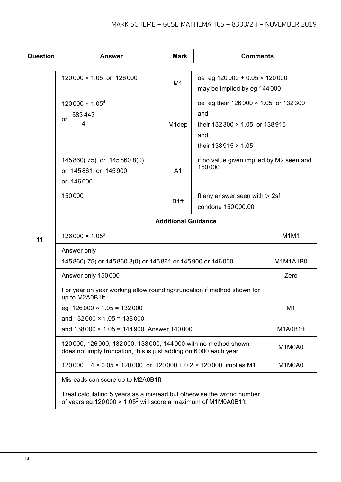| Question | <b>Answer</b>                                                                                                                                              | <b>Mark</b>                | <b>Comments</b>                                                                                                      |                |  |
|----------|------------------------------------------------------------------------------------------------------------------------------------------------------------|----------------------------|----------------------------------------------------------------------------------------------------------------------|----------------|--|
|          | $120000 \times 1.05$ or $126000$                                                                                                                           | M1                         | oe eg 120 000 + 0.05 $\times$ 120 000<br>may be implied by eg 144 000                                                |                |  |
|          | $120000 \times 1.05^{4}$<br>583443<br>or $\overline{a}$<br>4                                                                                               | M <sub>1</sub> dep         | oe eg their 126 000 × 1.05 or 132 300<br>and<br>their $132300 \times 1.05$ or $138915$<br>and<br>their 138915 × 1.05 |                |  |
|          | 145860(.75) or 145860.8(0)<br>or 145861 or 145900<br>or 146000                                                                                             | A <sub>1</sub>             | if no value given implied by M2 seen and<br>150000                                                                   |                |  |
|          | 150000                                                                                                                                                     | B <sub>1ft</sub>           | ft any answer seen with $> 2$ sf<br>condone 150 000.00                                                               |                |  |
|          |                                                                                                                                                            | <b>Additional Guidance</b> |                                                                                                                      |                |  |
| 11       | $126000 \times 1.05^{3}$                                                                                                                                   |                            |                                                                                                                      | M1M1           |  |
|          | Answer only<br>145 860(.75) or 145 860.8(0) or 145 861 or 145 900 or 146 000                                                                               | M1M1A1B0                   |                                                                                                                      |                |  |
|          | Answer only 150000                                                                                                                                         |                            |                                                                                                                      | Zero           |  |
|          | For year on year working allow rounding/truncation if method shown for<br>up to M2A0B1ft                                                                   |                            |                                                                                                                      |                |  |
|          | eg $126000 \times 1.05 = 132000$                                                                                                                           |                            |                                                                                                                      | M <sub>1</sub> |  |
|          | and $132000 \times 1.05 = 138000$<br>and $138000 \times 1.05 = 144900$ Answer 140000                                                                       |                            |                                                                                                                      | M1A0B1ft       |  |
|          | 120 000, 126 000, 132 000, 138 000, 144 000 with no method shown<br>does not imply truncation, this is just adding on 6000 each year                       | M1M0A0                     |                                                                                                                      |                |  |
|          | 120 000 + 4 × 0.05 × 120 000 or 120 000 + 0.2 × 120 000 implies M1                                                                                         | M1M0A0                     |                                                                                                                      |                |  |
|          | Misreads can score up to M2A0B1ft                                                                                                                          |                            |                                                                                                                      |                |  |
|          | Treat calculating 5 years as a misread but otherwise the wrong number<br>of years eg 120 000 $\times$ 1.05 <sup>2</sup> will score a maximum of M1M0A0B1ft |                            |                                                                                                                      |                |  |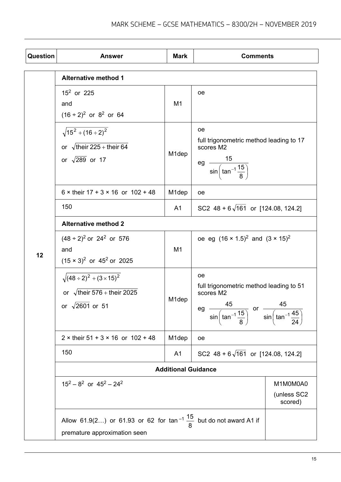| <b>Question</b> | <b>Answer</b>                                                                                                            | <b>Mark</b>                        | <b>Comments</b>                                                                                                                                                                                         |  |
|-----------------|--------------------------------------------------------------------------------------------------------------------------|------------------------------------|---------------------------------------------------------------------------------------------------------------------------------------------------------------------------------------------------------|--|
|                 | <b>Alternative method 1</b>                                                                                              |                                    |                                                                                                                                                                                                         |  |
|                 | $15^2$ or 225<br>and<br>$(16 \div 2)^2$ or 8 <sup>2</sup> or 64                                                          | M <sub>1</sub>                     | oе                                                                                                                                                                                                      |  |
|                 | $\sqrt{15^2+(16\div 2)^2}$<br>or $\sqrt{\text{their } 225 + \text{their } 64}$<br>or $\sqrt{289}$ or 17                  | M <sub>1</sub> dep                 | <sub>oe</sub><br>full trigonometric method leading to 17<br>scores M2<br>$\frac{15}{\sin\left(\tan^{-1}\frac{15}{8}\right)}$<br>eg                                                                      |  |
|                 | $6 \times$ their 17 + 3 $\times$ 16 or 102 + 48                                                                          | M <sub>1</sub> dep                 | <sub>oe</sub>                                                                                                                                                                                           |  |
|                 | 150                                                                                                                      | A <sub>1</sub>                     | SC2 $48 + 6\sqrt{161}$ or [124.08, 124.2]                                                                                                                                                               |  |
|                 | <b>Alternative method 2</b>                                                                                              |                                    |                                                                                                                                                                                                         |  |
| 12              | $(48 \div 2)^2$ or 24 <sup>2</sup> or 576<br>and<br>$(15 \times 3)^2$ or 45 <sup>2</sup> or 2025                         | M <sub>1</sub>                     | oe eg $(16 \times 1.5)^2$ and $(3 \times 15)^2$                                                                                                                                                         |  |
|                 | $\sqrt{(48 \div 2)^2 + (3 \times 15)^2}$<br>or $\sqrt{\text{their } 576 + \text{their } 2025}$<br>or $\sqrt{2601}$ or 51 | M1dep                              | <sub>oe</sub><br>full trigonometric method leading to 51<br>scores M2<br>-45<br>45<br>eg<br>$\frac{15}{\sin\left(\tan^{-1}\frac{15}{8}\right)}$ or $\frac{15}{\sin\left(\tan^{-1}\frac{45}{24}\right)}$ |  |
|                 | $2 \times$ their 51 + 3 $\times$ 16 or 102 + 48                                                                          | M <sub>1</sub> dep                 | oe                                                                                                                                                                                                      |  |
|                 | 150                                                                                                                      | A <sub>1</sub>                     | SC2 $48 + 6\sqrt{161}$ or [124.08, 124.2]                                                                                                                                                               |  |
|                 |                                                                                                                          | <b>Additional Guidance</b>         |                                                                                                                                                                                                         |  |
|                 | $15^2 - 8^2$ or $45^2 - 24^2$                                                                                            | M1M0M0A0<br>(unless SC2<br>scored) |                                                                                                                                                                                                         |  |
|                 | Allow 61.9(2) or 61.93 or 62 for $\tan^{-1} \frac{15}{8}$ but do not award A1 if                                         |                                    |                                                                                                                                                                                                         |  |
|                 | premature approximation seen                                                                                             |                                    |                                                                                                                                                                                                         |  |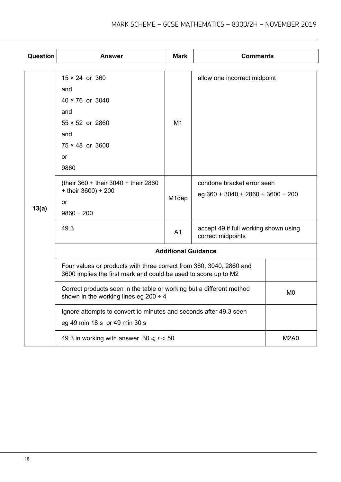| <b>Question</b> | <b>Answer</b>                                                                                                                          | <b>Mark</b>    | <b>Comments</b>                                                      |             |  |
|-----------------|----------------------------------------------------------------------------------------------------------------------------------------|----------------|----------------------------------------------------------------------|-------------|--|
|                 | $15 \times 24$ or 360<br>and<br>$40 \times 76$ or 3040<br>and<br>$55 \times 52$ or 2860<br>and<br>$75 \times 48$ or 3600<br>or<br>9860 | M <sub>1</sub> | allow one incorrect midpoint                                         |             |  |
| 13(a)           | (their $360 +$ their $3040 +$ their 2860<br>+ their $3600$ ) ÷ 200<br><b>or</b><br>$9860 \div 200$                                     | M1dep          | condone bracket error seen<br>eg $360 + 3040 + 2860 + 3600 \div 200$ |             |  |
|                 | 49.3                                                                                                                                   | A <sub>1</sub> | accept 49 if full working shown using<br>correct midpoints           |             |  |
|                 | <b>Additional Guidance</b>                                                                                                             |                |                                                                      |             |  |
|                 | Four values or products with three correct from 360, 3040, 2860 and<br>3600 implies the first mark and could be used to score up to M2 |                |                                                                      |             |  |
|                 | Correct products seen in the table or working but a different method<br>shown in the working lines eg 200 $\div$ 4                     | M <sub>0</sub> |                                                                      |             |  |
|                 | Ignore attempts to convert to minutes and seconds after 49.3 seen<br>eg 49 min 18 s or 49 min 30 s                                     |                |                                                                      |             |  |
|                 | 49.3 in working with answer $30 \le t < 50$                                                                                            |                |                                                                      | <b>M2A0</b> |  |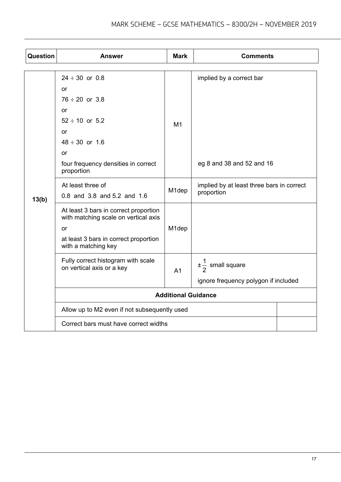| Question | <b>Answer</b>                                                                 | <b>Mark</b>        | <b>Comments</b>                           |  |
|----------|-------------------------------------------------------------------------------|--------------------|-------------------------------------------|--|
|          |                                                                               |                    |                                           |  |
|          | $24 \div 30$ or 0.8<br>or                                                     |                    | implied by a correct bar                  |  |
|          | $76 \div 20$ or 3.8                                                           |                    |                                           |  |
|          | or                                                                            |                    |                                           |  |
|          | $52 \div 10$ or $5.2$                                                         | M <sub>1</sub>     |                                           |  |
|          | or                                                                            |                    |                                           |  |
|          | $48 \div 30$ or 1.6                                                           |                    |                                           |  |
|          | or                                                                            |                    |                                           |  |
| 13(b)    | four frequency densities in correct<br>proportion                             |                    | eg 8 and 38 and 52 and 16                 |  |
|          | At least three of                                                             | M <sub>1</sub> dep | implied by at least three bars in correct |  |
|          | 0.8 and 3.8 and 5.2 and 1.6                                                   |                    | proportion                                |  |
|          | At least 3 bars in correct proportion<br>with matching scale on vertical axis |                    |                                           |  |
|          | or                                                                            | M <sub>1</sub> dep |                                           |  |
|          | at least 3 bars in correct proportion<br>with a matching key                  |                    |                                           |  |
|          | Fully correct histogram with scale<br>on vertical axis or a key               | A <sub>1</sub>     | $\pm\frac{1}{2}$ small square             |  |
|          |                                                                               |                    | ignore frequency polygon if included      |  |
|          | <b>Additional Guidance</b>                                                    |                    |                                           |  |
|          | Allow up to M2 even if not subsequently used                                  |                    |                                           |  |
|          | Correct bars must have correct widths                                         |                    |                                           |  |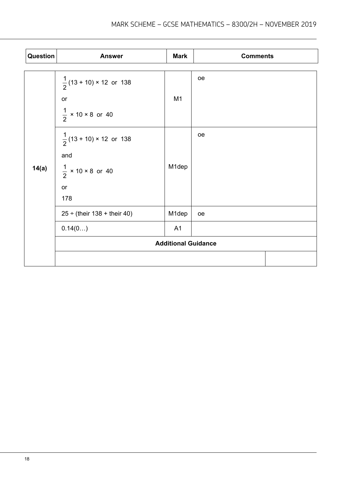| Question | <b>Answer</b>                       | <b>Mark</b>                | <b>Comments</b> |
|----------|-------------------------------------|----------------------------|-----------------|
|          |                                     |                            |                 |
|          | $\frac{1}{2}$ (13 + 10) × 12 or 138 |                            | oe              |
|          | or                                  | M <sub>1</sub>             |                 |
|          | $\frac{1}{2}$ × 10 × 8 or 40        |                            |                 |
|          | $\frac{1}{2}$ (13 + 10) × 12 or 138 |                            | oe              |
|          | and                                 |                            |                 |
| 14(a)    | $\frac{1}{2}$ × 10 × 8 or 40        | M1dep                      |                 |
|          | or                                  |                            |                 |
|          | 178                                 |                            |                 |
|          | $25 \div ($ their 138 + their 40)   | M1dep                      | oe              |
|          | 0.14(0)                             | A1                         |                 |
|          |                                     | <b>Additional Guidance</b> |                 |
|          |                                     |                            |                 |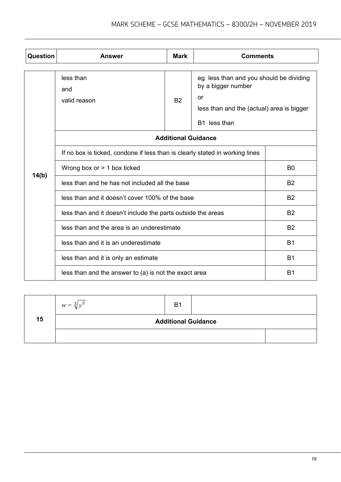| Question | <b>Answer</b>                                                                | <b>Mark</b>                                                                          | <b>Comments</b> |                |
|----------|------------------------------------------------------------------------------|--------------------------------------------------------------------------------------|-----------------|----------------|
|          | less than<br>and<br>valid reason                                             | eg less than and you should be dividing<br>less than and the (actual) area is bigger |                 |                |
|          | <b>Additional Guidance</b>                                                   |                                                                                      |                 |                |
|          | If no box is ticked, condone if less than is clearly stated in working lines |                                                                                      |                 |                |
| 14(b)    | Wrong box or $> 1$ box ticked                                                |                                                                                      | B <sub>0</sub>  |                |
|          | less than and he has not included all the base                               |                                                                                      |                 | <b>B2</b>      |
|          | less than and it doesn't cover 100% of the base                              |                                                                                      |                 | <b>B2</b>      |
|          | less than and it doesn't include the parts outside the areas                 |                                                                                      |                 | <b>B2</b>      |
|          | less than and the area is an underestimate                                   | <b>B2</b>                                                                            |                 |                |
|          | less than and it is an underestimate                                         |                                                                                      |                 | B <sub>1</sub> |
|          | less than and it is only an estimate                                         |                                                                                      |                 | <b>B1</b>      |
|          | less than and the answer to (a) is not the exact area                        |                                                                                      |                 | B <sub>1</sub> |

|    | $w = \sqrt[3]{y^2}$ | B <sub>1</sub>             |  |
|----|---------------------|----------------------------|--|
| 15 |                     | <b>Additional Guidance</b> |  |
|    |                     |                            |  |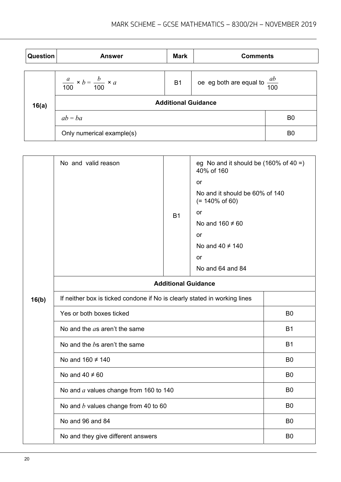| <b>Question</b> | <b>Answer</b>                                     | <b>Mark</b> | <b>Comments</b>                          |                |
|-----------------|---------------------------------------------------|-------------|------------------------------------------|----------------|
|                 | $\frac{a}{100} \times b = \frac{b}{100} \times a$ | <b>B1</b>   | oe eg both are equal to $\frac{ab}{100}$ |                |
| 16(a)           | <b>Additional Guidance</b>                        |             |                                          |                |
|                 | $ab = ba$                                         |             |                                          | B <sub>0</sub> |
|                 | Only numerical example(s)                         |             |                                          | B <sub>0</sub> |

|       | No and valid reason                                                       | <b>B1</b>      | eg No and it should be $(160\% \text{ of } 40 = )$<br>40% of 160<br>or<br>No and it should be 60% of 140<br>$(= 140\% \text{ of } 60)$<br>or<br>No and $160 \neq 60$<br>or<br>No and $40 \neq 140$<br>or |                |
|-------|---------------------------------------------------------------------------|----------------|----------------------------------------------------------------------------------------------------------------------------------------------------------------------------------------------------------|----------------|
|       |                                                                           |                | No and 64 and 84                                                                                                                                                                                         |                |
|       | <b>Additional Guidance</b>                                                |                |                                                                                                                                                                                                          |                |
| 16(b) | If neither box is ticked condone if No is clearly stated in working lines |                |                                                                                                                                                                                                          |                |
|       | Yes or both boxes ticked                                                  | B <sub>0</sub> |                                                                                                                                                                                                          |                |
|       | No and the as aren't the same                                             | <b>B1</b>      |                                                                                                                                                                                                          |                |
|       | No and the $b$ s aren't the same                                          |                |                                                                                                                                                                                                          | <b>B1</b>      |
|       | No and $160 \neq 140$                                                     |                |                                                                                                                                                                                                          | B <sub>0</sub> |
|       | No and $40 \neq 60$                                                       |                |                                                                                                                                                                                                          | B <sub>0</sub> |
|       | No and $a$ values change from 160 to 140                                  |                |                                                                                                                                                                                                          | B0             |
|       | No and $b$ values change from 40 to 60                                    |                |                                                                                                                                                                                                          | B <sub>0</sub> |
|       | No and 96 and 84                                                          |                |                                                                                                                                                                                                          | B <sub>0</sub> |
|       | No and they give different answers                                        |                |                                                                                                                                                                                                          | B <sub>0</sub> |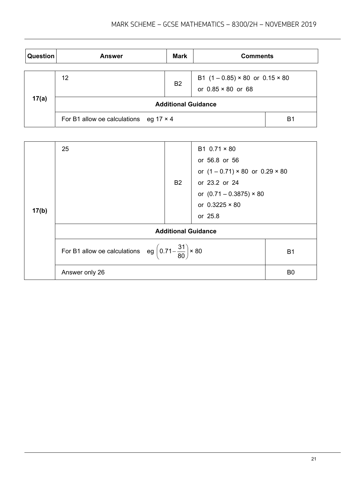| Question | <b>Answer</b>                                 | <b>Mark</b> | <b>Comments</b>                                                            |                |
|----------|-----------------------------------------------|-------------|----------------------------------------------------------------------------|----------------|
|          | 12                                            | <b>B2</b>   | B1 $(1 - 0.85) \times 80$ or $0.15 \times 80$<br>or $0.85 \times 80$ or 68 |                |
| 17(a)    | <b>Additional Guidance</b>                    |             |                                                                            |                |
|          | For B1 allow oe calculations eg $17 \times 4$ |             |                                                                            | B <sub>1</sub> |

|       | 25                                                                          | <b>B2</b>                  | B1 $0.71 \times 80$<br>or 56.8 or 56<br>or $(1 - 0.71) \times 80$ or $0.29 \times 80$<br>or 23.2 or 24<br>or $(0.71 - 0.3875) \times 80$<br>or $0.3225 \times 80$ |                |
|-------|-----------------------------------------------------------------------------|----------------------------|-------------------------------------------------------------------------------------------------------------------------------------------------------------------|----------------|
| 17(b) |                                                                             | <b>Additional Guidance</b> | or 25.8                                                                                                                                                           |                |
|       | For B1 allow oe calculations eg $\left(0.71-\frac{31}{80}\right) \times 80$ |                            |                                                                                                                                                                   | <b>B1</b>      |
|       | Answer only 26                                                              |                            |                                                                                                                                                                   | B <sub>0</sub> |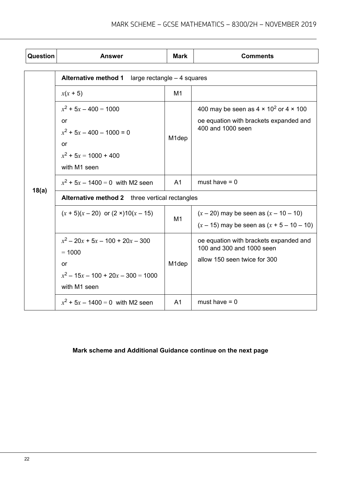| Question | <b>Answer</b>                                                                                                 | <b>Mark</b>        | <b>Comments</b>                                                                                                     |  |  |
|----------|---------------------------------------------------------------------------------------------------------------|--------------------|---------------------------------------------------------------------------------------------------------------------|--|--|
|          | <b>Alternative method 1</b><br>large rectangle $-4$ squares                                                   |                    |                                                                                                                     |  |  |
|          | $x(x + 5)$                                                                                                    | M <sub>1</sub>     |                                                                                                                     |  |  |
|          | $x^2$ + 5x - 400 = 1000<br>or<br>$x^2$ + 5x - 400 - 1000 = 0<br>or<br>$x^2$ + 5x = 1000 + 400<br>with M1 seen | M <sub>1</sub> dep | 400 may be seen as $4 \times 10^2$ or $4 \times 100$<br>oe equation with brackets expanded and<br>400 and 1000 seen |  |  |
|          | $x^2$ + 5x – 1400 = 0 with M2 seen                                                                            | A <sub>1</sub>     | must have $= 0$                                                                                                     |  |  |
| 18(a)    | Alternative method 2 three vertical rectangles                                                                |                    |                                                                                                                     |  |  |
|          | $(x + 5)(x - 20)$ or $(2 \times 10)(x - 15)$                                                                  | M1                 | $(x - 20)$ may be seen as $(x - 10 - 10)$<br>$(x - 15)$ may be seen as $(x + 5 - 10 - 10)$                          |  |  |
|          | $x^2 - 20x + 5x - 100 + 20x - 300$<br>$= 1000$<br>or<br>$x^2 - 15x - 100 + 20x - 300 = 1000$<br>with M1 seen  | M <sub>1</sub> dep | oe equation with brackets expanded and<br>100 and 300 and 1000 seen<br>allow 150 seen twice for 300                 |  |  |
|          | $x^2$ + 5x – 1400 = 0 with M2 seen                                                                            | A <sub>1</sub>     | must have $= 0$                                                                                                     |  |  |

# **Mark scheme and Additional Guidance continue on the next page**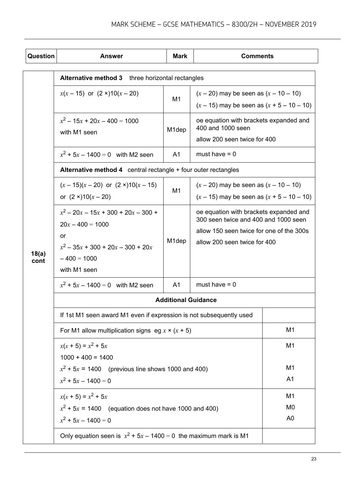| Question | <b>Answer</b>                                                       | <b>Mark</b>        | <b>Comments</b>                                                                |                                  |
|----------|---------------------------------------------------------------------|--------------------|--------------------------------------------------------------------------------|----------------------------------|
|          | <b>Alternative method 3</b> three horizontal rectangles             |                    |                                                                                |                                  |
|          | $x(x - 15)$ or $(2 \times 10(x - 20))$                              |                    | $(x - 20)$ may be seen as $(x - 10 - 10)$                                      |                                  |
|          |                                                                     | M <sub>1</sub>     | $(x - 15)$ may be seen as $(x + 5 - 10 - 10)$                                  |                                  |
|          | $x^2 - 15x + 20x - 400 = 1000$<br>with M1 seen                      | M <sub>1</sub> dep | oe equation with brackets expanded and<br>400 and 1000 seen                    |                                  |
|          |                                                                     |                    | allow 200 seen twice for 400                                                   |                                  |
|          | $x^2$ + 5x – 1400 = 0 with M2 seen                                  | A <sub>1</sub>     | must have $= 0$                                                                |                                  |
|          | Alternative method 4 central rectangle + four outer rectangles      |                    |                                                                                |                                  |
|          | $(x-15)(x-20)$ or $(2 \times 10(x-15))$                             |                    | $(x - 20)$ may be seen as $(x - 10 - 10)$                                      |                                  |
|          | or $(2 \times 10(x - 20))$                                          | M <sub>1</sub>     | $(x - 15)$ may be seen as $(x + 5 - 10 - 10)$                                  |                                  |
|          | $x^2 - 20x - 15x + 300 + 20x - 300 +$<br>$20x - 400 = 1000$         | M <sub>1</sub> dep | oe equation with brackets expanded and<br>300 seen twice and 400 and 1000 seen |                                  |
|          | or                                                                  |                    | allow 150 seen twice for one of the 300s                                       |                                  |
| 18(a)    | $x^2$ – 35x + 300 + 20x – 300 + 20x                                 |                    | allow 200 seen twice for 400                                                   |                                  |
| cont     | $-400 = 1000$                                                       |                    |                                                                                |                                  |
|          | with M1 seen                                                        |                    |                                                                                |                                  |
|          | $x^2$ + 5x – 1400 = 0 with M2 seen                                  | A <sub>1</sub>     | must have $= 0$                                                                |                                  |
|          | <b>Additional Guidance</b>                                          |                    |                                                                                |                                  |
|          | If 1st M1 seen award M1 even if expression is not subsequently used |                    |                                                                                |                                  |
|          | For M1 allow multiplication signs eg $x \times (x + 5)$             |                    |                                                                                | M <sub>1</sub>                   |
|          | $x(x + 5) = x^2 + 5x$                                               |                    |                                                                                | M <sub>1</sub>                   |
|          | $1000 + 400 = 1400$                                                 |                    |                                                                                |                                  |
|          | $x^2$ + 5x = 1400 (previous line shows 1000 and 400)                |                    |                                                                                | M <sub>1</sub>                   |
|          | $x^2$ + 5x - 1400 = 0                                               |                    |                                                                                | A <sub>1</sub>                   |
|          | $x(x + 5) = x^2 + 5x$                                               |                    |                                                                                | M <sub>1</sub>                   |
|          | $x^2$ + 5x = 1400 (equation does not have 1000 and 400)             |                    |                                                                                | M <sub>0</sub><br>A <sub>0</sub> |
|          | $x^2$ + 5x - 1400 = 0                                               |                    |                                                                                |                                  |
|          | Only equation seen is $x^2 + 5x - 1400 = 0$ the maximum mark is M1  |                    |                                                                                |                                  |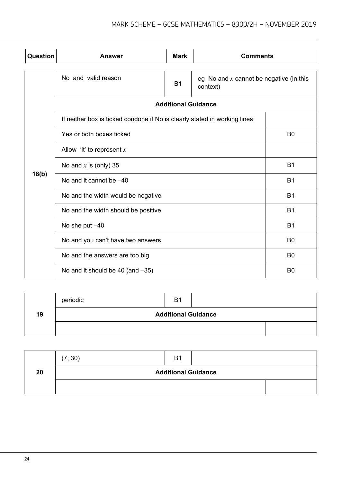| Question | Answer                                                                    | <b>Mark</b>                               | <b>Comments</b> |                |
|----------|---------------------------------------------------------------------------|-------------------------------------------|-----------------|----------------|
|          | No and valid reason                                                       | eg No and $x$ cannot be negative (in this |                 |                |
|          |                                                                           | <b>Additional Guidance</b>                |                 |                |
|          | If neither box is ticked condone if No is clearly stated in working lines |                                           |                 |                |
|          | Yes or both boxes ticked                                                  |                                           |                 | B <sub>0</sub> |
|          | Allow 'it' to represent $x$                                               |                                           |                 |                |
|          | No and $x$ is (only) 35                                                   |                                           |                 | <b>B1</b>      |
| 18(b)    | No and it cannot be -40                                                   | <b>B1</b>                                 |                 |                |
|          | No and the width would be negative                                        | <b>B1</b>                                 |                 |                |
|          | No and the width should be positive                                       |                                           |                 | <b>B1</b>      |
|          | No she put -40                                                            |                                           | <b>B1</b>       |                |
|          | No and you can't have two answers                                         |                                           |                 |                |
|          | No and the answers are too big                                            |                                           |                 | B <sub>0</sub> |
|          | No and it should be 40 (and -35)                                          |                                           |                 | B <sub>0</sub> |

|    | periodic                   | B <sub>1</sub> |  |  |
|----|----------------------------|----------------|--|--|
| 19 | <b>Additional Guidance</b> |                |  |  |
|    |                            |                |  |  |

|    | (7, 30)                    | B <sub>1</sub> |  |  |
|----|----------------------------|----------------|--|--|
| 20 | <b>Additional Guidance</b> |                |  |  |
|    |                            |                |  |  |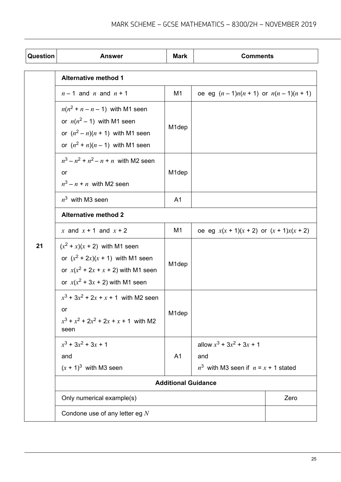| Question | <b>Answer</b>                                                                                                                                          | <b>Mark</b>        | <b>Comments</b>                                                                   |      |
|----------|--------------------------------------------------------------------------------------------------------------------------------------------------------|--------------------|-----------------------------------------------------------------------------------|------|
|          | <b>Alternative method 1</b>                                                                                                                            |                    |                                                                                   |      |
|          | $n-1$ and n and $n+1$                                                                                                                                  | M1                 | oe eg $(n-1)n(n + 1)$ or $n(n - 1)(n + 1)$                                        |      |
|          | $n(n^2 + n - n - 1)$ with M1 seen<br>or $n(n^2 - 1)$ with M1 seen<br>or $(n^2 - n)(n + 1)$ with M1 seen<br>or $(n^2 + n)(n - 1)$ with M1 seen          | M <sub>1</sub> dep |                                                                                   |      |
|          | $n^3 - n^2 + n^2 - n + n$ with M2 seen<br>or<br>$n^3 - n + n$ with M2 seen                                                                             | M <sub>1</sub> dep |                                                                                   |      |
|          | $n^3$ with M3 seen                                                                                                                                     | A <sub>1</sub>     |                                                                                   |      |
|          | <b>Alternative method 2</b>                                                                                                                            |                    |                                                                                   |      |
|          | x and $x + 1$ and $x + 2$                                                                                                                              | M1                 | oe eg $x(x + 1)(x + 2)$ or $(x + 1)x(x + 2)$                                      |      |
| 21       | $(x^{2} + x)(x + 2)$ with M1 seen<br>or $(x^2 + 2x)(x + 1)$ with M1 seen<br>or $x(x^2 + 2x + x + 2)$ with M1 seen<br>or $x(x^2 + 3x + 2)$ with M1 seen | M <sub>1</sub> dep |                                                                                   |      |
|          | $x^3$ + 3 $x^2$ + 2x + x + 1 with M2 seen<br>or<br>$x^3 + x^2 + 2x^2 + 2x + x + 1$ with M2<br>seen                                                     | M <sub>1</sub> dep |                                                                                   |      |
|          | $x^3$ + 3 $x^2$ + 3x + 1<br>and<br>$(x + 1)^3$ with M3 seen                                                                                            | A <sub>1</sub>     | allow $x^3$ + 3 $x^2$ + 3x + 1<br>and<br>$n^3$ with M3 seen if $n = x + 1$ stated |      |
|          | <b>Additional Guidance</b>                                                                                                                             |                    |                                                                                   |      |
|          | Only numerical example(s)                                                                                                                              |                    |                                                                                   | Zero |
|          | Condone use of any letter eg $N$                                                                                                                       |                    |                                                                                   |      |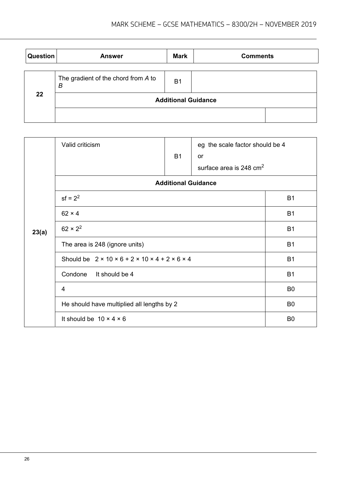| Question | <b>Answer</b>                            | <b>Mark</b>                | <b>Comments</b> |
|----------|------------------------------------------|----------------------------|-----------------|
|          | The gradient of the chord from A to<br>B | B <sub>1</sub>             |                 |
| 22       |                                          | <b>Additional Guidance</b> |                 |
|          |                                          |                            |                 |

|       | Valid criticism                                                               |                            | eg the scale factor should be 4     |                |
|-------|-------------------------------------------------------------------------------|----------------------------|-------------------------------------|----------------|
|       |                                                                               | <b>B1</b>                  | or                                  |                |
|       |                                                                               |                            | surface area is 248 cm <sup>2</sup> |                |
|       |                                                                               | <b>Additional Guidance</b> |                                     |                |
|       | $sf = 2^2$                                                                    |                            |                                     | <b>B1</b>      |
|       | $62 \times 4$                                                                 |                            |                                     | B <sub>1</sub> |
| 23(a) | $62 \times 2^2$                                                               |                            |                                     | <b>B1</b>      |
|       | The area is 248 (ignore units)                                                |                            |                                     | <b>B1</b>      |
|       | Should be $2 \times 10 \times 6 + 2 \times 10 \times 4 + 2 \times 6 \times 4$ |                            |                                     | <b>B1</b>      |
|       | Condone<br>It should be 4                                                     |                            |                                     | <b>B1</b>      |
|       | 4                                                                             |                            |                                     | B <sub>0</sub> |
|       | He should have multiplied all lengths by 2                                    |                            |                                     | B <sub>0</sub> |
|       | It should be $10 \times 4 \times 6$                                           |                            |                                     | B <sub>0</sub> |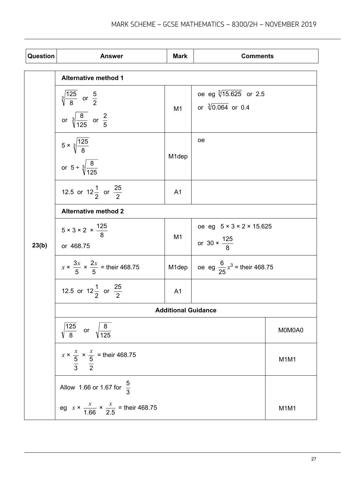| <b>Question</b> | <b>Answer</b>                                                                               | <b>Mark</b>                | <b>Comments</b>                                                           |                               |
|-----------------|---------------------------------------------------------------------------------------------|----------------------------|---------------------------------------------------------------------------|-------------------------------|
|                 | <b>Alternative method 1</b>                                                                 |                            |                                                                           |                               |
|                 | $\sqrt[3]{\frac{125}{8}}$ or $\frac{5}{2}$<br>or $\sqrt[3]{\frac{8}{125}}$ or $\frac{2}{5}$ | M <sub>1</sub>             | oe eg $\sqrt[3]{15.625}$ or 2.5<br>or $\sqrt[3]{0.064}$ or 0.4            |                               |
|                 | $5 \times \sqrt[3]{\frac{125}{8}}$<br>or $5 \div \sqrt[3]{\frac{8}{125}}$                   | M <sub>1</sub> dep         | oе                                                                        |                               |
|                 | 12.5 or 12 $\frac{1}{2}$ or $\frac{25}{2}$                                                  | A <sub>1</sub>             |                                                                           |                               |
|                 | <b>Alternative method 2</b>                                                                 |                            |                                                                           |                               |
| 23(b)           | $5 \times 3 \times 2 \times \frac{125}{9}$<br>or 468.75                                     | M <sub>1</sub>             | oe eg $5 \times 3 \times 2 \times 15.625$<br>or 30 $\times \frac{125}{8}$ |                               |
|                 | $x \times \frac{3x}{5} \times \frac{2x}{5}$ = their 468.75                                  | M1dep                      | oe eg $\frac{6}{25}x^3$ = their 468.75                                    |                               |
|                 | 12.5 or 12 $\frac{1}{2}$ or $\frac{25}{2}$                                                  | A <sub>1</sub>             |                                                                           |                               |
|                 |                                                                                             | <b>Additional Guidance</b> |                                                                           |                               |
|                 | $\sqrt{\frac{125}{8}}$ or $\sqrt{\frac{8}{125}}$                                            |                            |                                                                           | M0M0A0                        |
|                 | $x \times \frac{x}{\frac{5}{3}} \times \frac{x}{\frac{5}{2}}$ = their 468.75                |                            |                                                                           | M <sub>1</sub> M <sub>1</sub> |
|                 | Allow 1.66 or 1.67 for $\frac{5}{3}$                                                        |                            |                                                                           |                               |
|                 | eg $x \times \frac{x}{1.66} \times \frac{x}{2.5}$ = their 468.75                            |                            |                                                                           | M <sub>1</sub> M <sub>1</sub> |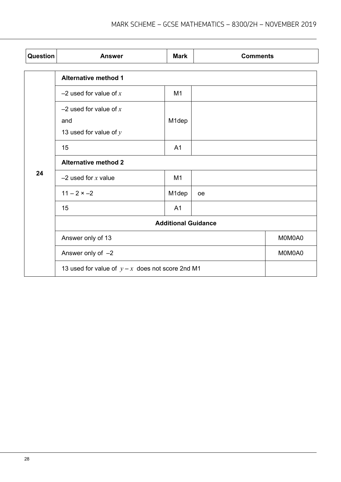| Question | <b>Answer</b>                                               | <b>Mark</b>    | <b>Comments</b> |        |
|----------|-------------------------------------------------------------|----------------|-----------------|--------|
|          | <b>Alternative method 1</b>                                 |                |                 |        |
|          | $-2$ used for value of x                                    | M1             |                 |        |
|          | $-2$ used for value of x<br>and<br>13 used for value of $y$ | M1dep          |                 |        |
|          | 15                                                          | A <sub>1</sub> |                 |        |
|          | <b>Alternative method 2</b>                                 |                |                 |        |
| 24       | $-2$ used for x value                                       | M1             |                 |        |
|          | $11 - 2 \times -2$                                          | M1dep          | <b>oe</b>       |        |
|          | 15                                                          | A <sub>1</sub> |                 |        |
|          | <b>Additional Guidance</b>                                  |                |                 |        |
|          | Answer only of 13                                           |                |                 | M0M0A0 |
|          | Answer only of $-2$                                         |                | M0M0A0          |        |
|          | 13 used for value of $y-x$ does not score 2nd M1            |                |                 |        |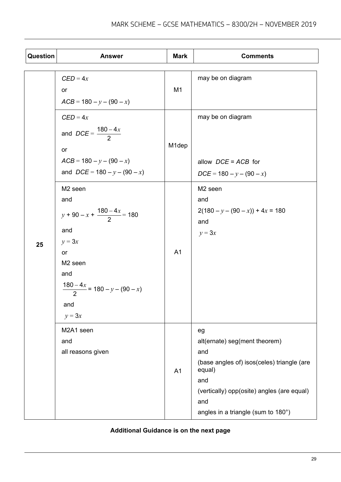| Question | <b>Answer</b>                                                                                                                                                                    | <b>Mark</b>    | <b>Comments</b>                                                                                                                                                                                      |
|----------|----------------------------------------------------------------------------------------------------------------------------------------------------------------------------------|----------------|------------------------------------------------------------------------------------------------------------------------------------------------------------------------------------------------------|
|          | $CED = 4x$<br>or<br>$ACB = 180 - y - (90 - x)$                                                                                                                                   | M <sub>1</sub> | may be on diagram                                                                                                                                                                                    |
|          | $CED = 4x$<br>and $DCE = \frac{180 - 4x}{2}$<br>or<br>$ACB = 180 - y - (90 - x)$<br>and $DCE = 180 - y - (90 - x)$                                                               | M1dep          | may be on diagram<br>allow $DCE = ACB$ for<br>$DCE = 180 - y - (90 - x)$                                                                                                                             |
| 25       | M <sub>2</sub> seen<br>and<br>$y+90-x+\frac{180-4x}{2}=180$<br>and<br>$y = 3x$<br>or<br>M <sub>2</sub> seen<br>and<br>$\frac{180-4x}{2} = 180 - y - (90 - x)$<br>and<br>$y = 3x$ | A <sub>1</sub> | M <sub>2</sub> seen<br>and<br>$2(180 - y - (90 - x)) + 4x = 180$<br>and<br>$y = 3x$                                                                                                                  |
|          | M2A1 seen<br>and<br>all reasons given                                                                                                                                            | A <sub>1</sub> | eg<br>alt(ernate) seg(ment theorem)<br>and<br>(base angles of) isos(celes) triangle (are<br>equal)<br>and<br>(vertically) opp(osite) angles (are equal)<br>and<br>angles in a triangle (sum to 180°) |

# **Additional Guidance is on the next page**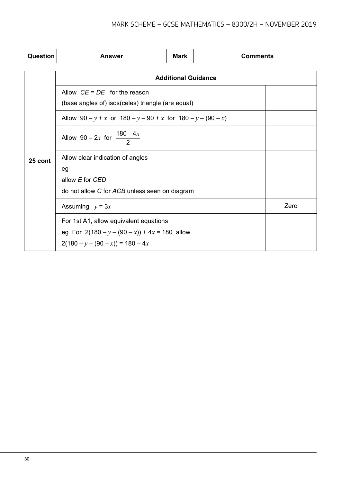| <b>Question</b> | <b>Answer</b>                                                                                                                   | <b>Mark</b> | <b>Comments</b> |      |  |
|-----------------|---------------------------------------------------------------------------------------------------------------------------------|-------------|-----------------|------|--|
|                 | <b>Additional Guidance</b>                                                                                                      |             |                 |      |  |
| 25 cont         | Allow $CE = DE$ for the reason<br>(base angles of) isos(celes) triangle (are equal)                                             |             |                 |      |  |
|                 | Allow $90 - y + x$ or $180 - y - 90 + x$ for $180 - y - (90 - x)$                                                               |             |                 |      |  |
|                 | Allow 90 – 2x for $\frac{180-4x}{2}$                                                                                            |             |                 |      |  |
|                 | Allow clear indication of angles<br>eg                                                                                          |             |                 |      |  |
|                 | allow E for CED<br>do not allow C for ACB unless seen on diagram                                                                |             |                 |      |  |
|                 | Assuming $y = 3x$                                                                                                               |             |                 | Zero |  |
|                 | For 1st A1, allow equivalent equations<br>eg For $2(180 - y - (90 - x)) + 4x = 180$ allow<br>$2(180 - y - (90 - x)) = 180 - 4x$ |             |                 |      |  |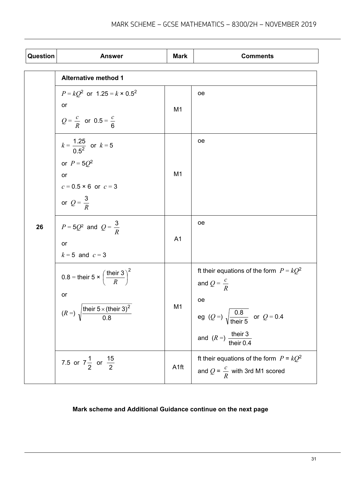| Question | <b>Answer</b>                                                        | <b>Mark</b>      | <b>Comments</b>                                                                       |
|----------|----------------------------------------------------------------------|------------------|---------------------------------------------------------------------------------------|
|          | <b>Alternative method 1</b>                                          |                  |                                                                                       |
| 26       | $P = kQ^2$ or 1.25 = $k \times 0.5^2$                                | M <sub>1</sub>   | oе                                                                                    |
|          | or                                                                   |                  |                                                                                       |
|          | $Q = \frac{c}{R}$ or 0.5 = $\frac{c}{R}$                             |                  |                                                                                       |
|          | $k = \frac{1.25}{0.5^2}$ or $k = 5$                                  |                  | oе                                                                                    |
|          | or $P = 5Q^2$                                                        |                  |                                                                                       |
|          | or<br>$c = 0.5 \times 6$ or $c = 3$                                  | M <sub>1</sub>   |                                                                                       |
|          | or $Q = \frac{3}{R}$                                                 |                  |                                                                                       |
|          | $P = 5Q^2$ and $Q = \frac{3}{R}$                                     |                  | oe                                                                                    |
|          | or                                                                   | A <sub>1</sub>   |                                                                                       |
|          | $k = 5$ and $c = 3$                                                  |                  |                                                                                       |
|          | 0.8 = their 5 $\times \left(\frac{\text{their }3}{R}\right)^2$       |                  | It their equations of the form $P = kQ^2$                                             |
|          | or                                                                   |                  | and $Q = \frac{c}{R}$                                                                 |
|          | $(R = \sqrt{\frac{\text{their } 5 \times (\text{their } 3)^2}{0.8}}$ | M1               | oе                                                                                    |
|          |                                                                      |                  | eg (Q =) $\sqrt{\frac{0.8}{\text{their 5}}}$ or Q = 0.4                               |
|          |                                                                      |                  | and $(R =)$ their 3<br>their 0.4                                                      |
|          | 7.5 or $7\frac{1}{2}$ or $\frac{15}{2}$                              | A <sub>1ft</sub> | It their equations of the form $P = kQ^2$<br>and $Q = \frac{c}{R}$ with 3rd M1 scored |
|          |                                                                      |                  |                                                                                       |

### **Mark scheme and Additional Guidance continue on the next page**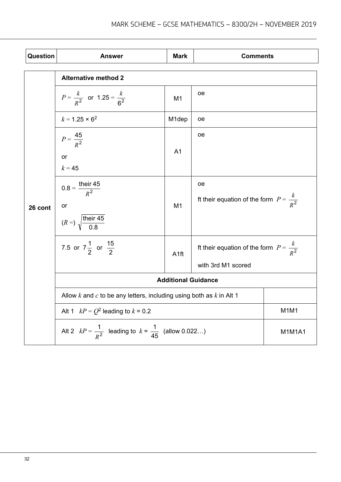| <b>Question</b> | <b>Answer</b>                                                                             | <b>Mark</b>        | <b>Comments</b>                                                         |                               |  |
|-----------------|-------------------------------------------------------------------------------------------|--------------------|-------------------------------------------------------------------------|-------------------------------|--|
|                 | <b>Alternative method 2</b>                                                               |                    |                                                                         |                               |  |
| 26 cont         | $P = \frac{k}{R^2}$ or 1.25 = $\frac{k}{R^2}$                                             | M <sub>1</sub>     | oе                                                                      |                               |  |
|                 | $k = 1.25 \times 6^2$                                                                     | M <sub>1</sub> dep | oе                                                                      |                               |  |
|                 | $P = \frac{45}{R^2}$<br>or<br>$k = 45$                                                    | A <sub>1</sub>     | оe                                                                      |                               |  |
|                 | $0.8 = \frac{\text{their } 45}{R^2}$<br>or<br>$(R = \sqrt{\frac{\text{their } 45}{0.8}})$ | M1                 | <sub>oe</sub><br>ft their equation of the form $P = \frac{k}{R^2}$      |                               |  |
|                 | 7.5 or $7\frac{1}{2}$ or $\frac{15}{2}$                                                   | A <sub>1ft</sub>   | ft their equation of the form $P = \frac{k}{R^2}$<br>with 3rd M1 scored |                               |  |
|                 | <b>Additional Guidance</b>                                                                |                    |                                                                         |                               |  |
|                 | Allow k and c to be any letters, including using both as $k$ in Alt 1                     |                    |                                                                         |                               |  |
|                 | Alt 1 $kP = Q^2$ leading to $k = 0.2$                                                     |                    |                                                                         | M <sub>1</sub> M <sub>1</sub> |  |
|                 | Alt 2 $kP = \frac{1}{R^2}$ leading to $k = \frac{1}{45}$ (allow 0.022)                    |                    |                                                                         | <b>M1M1A1</b>                 |  |